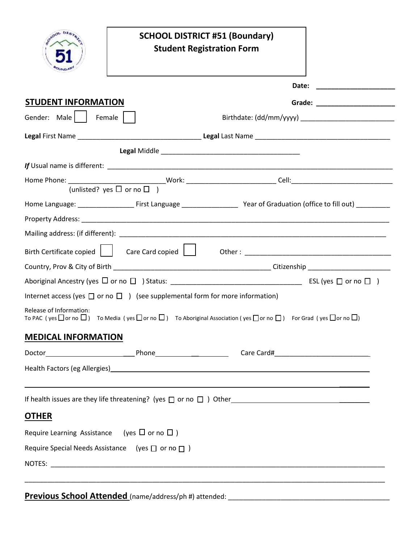|                                                             |                                                                                         | <b>SCHOOL DISTRICT #51 (Boundary)</b><br><b>Student Registration Form</b>                                                                                                                                                        |  |  |  |
|-------------------------------------------------------------|-----------------------------------------------------------------------------------------|----------------------------------------------------------------------------------------------------------------------------------------------------------------------------------------------------------------------------------|--|--|--|
|                                                             |                                                                                         | Date:                                                                                                                                                                                                                            |  |  |  |
| <b>STUDENT INFORMATION</b>                                  |                                                                                         |                                                                                                                                                                                                                                  |  |  |  |
| Gender: Male  <br>Female                                    |                                                                                         |                                                                                                                                                                                                                                  |  |  |  |
|                                                             |                                                                                         |                                                                                                                                                                                                                                  |  |  |  |
|                                                             |                                                                                         |                                                                                                                                                                                                                                  |  |  |  |
|                                                             |                                                                                         |                                                                                                                                                                                                                                  |  |  |  |
|                                                             |                                                                                         |                                                                                                                                                                                                                                  |  |  |  |
|                                                             |                                                                                         | Home Language: _________________________First Language __________________________Year of Graduation (office to fill out) ____________                                                                                            |  |  |  |
|                                                             |                                                                                         |                                                                                                                                                                                                                                  |  |  |  |
|                                                             |                                                                                         |                                                                                                                                                                                                                                  |  |  |  |
|                                                             |                                                                                         |                                                                                                                                                                                                                                  |  |  |  |
|                                                             |                                                                                         |                                                                                                                                                                                                                                  |  |  |  |
|                                                             |                                                                                         |                                                                                                                                                                                                                                  |  |  |  |
|                                                             | Internet access (yes $\Box$ or no $\Box$ ) (see supplemental form for more information) |                                                                                                                                                                                                                                  |  |  |  |
| Release of Information:                                     |                                                                                         | To PAC (yes $\Box$ or no $\Box$ ) To Media (yes $\Box$ or no $\Box$ ) To Aboriginal Association (yes $\Box$ or no $\Box$ ) For Grad (yes $\Box$ or no $\Box$ )                                                                   |  |  |  |
| <b>MEDICAL INFORMATION</b>                                  |                                                                                         |                                                                                                                                                                                                                                  |  |  |  |
|                                                             |                                                                                         |                                                                                                                                                                                                                                  |  |  |  |
|                                                             |                                                                                         | Health Factors (eg Allergies) Manuel Allen and Contract and Contract and Contract and Contract and Contract and                                                                                                                  |  |  |  |
|                                                             |                                                                                         | If health issues are they life threatening? (yes $\Box$ or no $\Box$ ) Other example the set of the set of the set of the set of the set of the set of the set of the set of the set of the set of the set of the set of the set |  |  |  |
| <b>OTHER</b>                                                |                                                                                         |                                                                                                                                                                                                                                  |  |  |  |
| Require Learning Assistance (yes $\Box$ or no $\Box$ )      |                                                                                         |                                                                                                                                                                                                                                  |  |  |  |
| Require Special Needs Assistance (yes $\Box$ or no $\Box$ ) |                                                                                         |                                                                                                                                                                                                                                  |  |  |  |

**Previous School Attended** (name/address/ph #) attended: \_\_\_\_\_\_\_\_\_\_\_\_\_\_\_\_\_\_\_\_\_\_\_\_\_\_\_\_\_\_\_\_\_\_\_\_\_\_\_\_\_\_\_